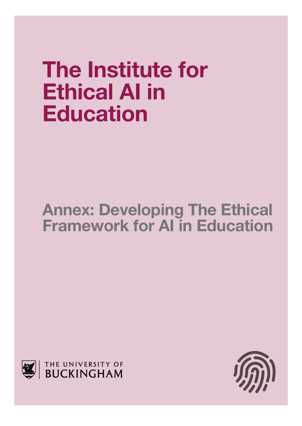# **The Institute for Ethical AI in Education**

# **Annex: Developing The Ethical Framework for AI in Education**



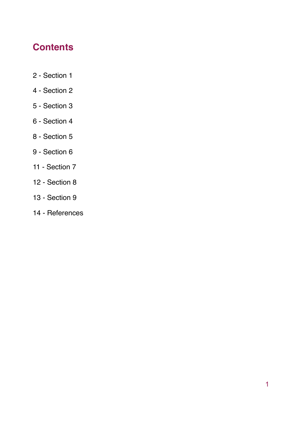## **Contents**

- 2 Section 1
- 4 Section 2
- 5 Section 3
- 6 Section 4
- 8 Section 5
- 9 Section 6
- 11 Section 7
- 12 Section 8
- 13 Section 9
- 14 References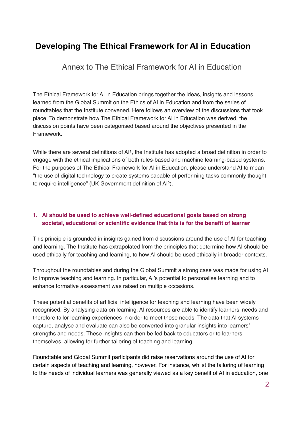### **Developing The Ethical Framework for AI in Education**

Annex to The Ethical Framework for AI in Education

The Ethical Framework for AI in Education brings together the ideas, insights and lessons learned from the Global Summit on the Ethics of AI in Education and from the series of roundtables that the Institute convened. Here follows an overview of the discussions that took place. To demonstrate how The Ethical Framework for AI in Education was derived, the discussion points have been categorised based around the objectives presented in the Framework.

While there are several definitions of AI<sup>1</sup>, the Institute has adopted a broad definition in order to engage with the ethical implications of both rules-based and machine learning-based systems. For the purposes of The Ethical Framework for AI in Education, please understand AI to mean "the use of digital technology to create systems capable of performing tasks commonly thought to require intelligence" (UK Government definition of AI2).

#### **1. AI should be used to achieve well-defined educational goals based on strong societal, educational or scientific evidence that this is for the benefit of learner**

This principle is grounded in insights gained from discussions around the use of AI for teaching and learning. The Institute has extrapolated from the principles that determine how AI should be used ethically for teaching and learning, to how AI should be used ethically in broader contexts.

Throughout the roundtables and during the Global Summit a strong case was made for using AI to improve teaching and learning. In particular, AI's potential to personalise learning and to enhance formative assessment was raised on multiple occasions.

These potential benefits of artificial intelligence for teaching and learning have been widely recognised. By analysing data on learning, AI resources are able to identify learners' needs and therefore tailor learning experiences in order to meet those needs. The data that AI systems capture, analyse and evaluate can also be converted into granular insights into learners' strengths and needs. These insights can then be fed back to educators or to learners themselves, allowing for further tailoring of teaching and learning.

Roundtable and Global Summit participants did raise reservations around the use of AI for certain aspects of teaching and learning, however. For instance, whilst the tailoring of learning to the needs of individual learners was generally viewed as a key benefit of AI in education, one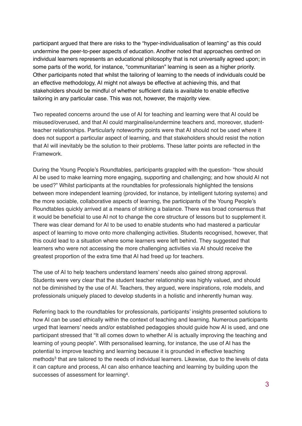participant argued that there are risks to the "hyper-individualisation of learning" as this could undermine the peer-to-peer aspects of education. Another noted that approaches centred on individual learners represents an educational philosophy that is not universally agreed upon; in some parts of the world, for instance, "communitarian" learning is seen as a higher priority. Other participants noted that whilst the tailoring of learning to the needs of individuals could be an effective methodology, AI might not always be effective at achieving this, and that stakeholders should be mindful of whether sufficient data is available to enable effective tailoring in any particular case. This was not, however, the majority view.

Two repeated concerns around the use of AI for teaching and learning were that AI could be misused/overused, and that AI could marginalise/undermine teachers and, moreover, studentteacher relationships. Particularly noteworthy points were that AI should not be used where it does not support a particular aspect of learning, and that stakeholders should resist the notion that AI will inevitably be the solution to their problems. These latter points are reflected in the Framework.

During the Young People's Roundtables, participants grappled with the question- "how should AI be used to make learning more engaging, supporting and challenging; and how should AI not be used?" Whilst participants at the roundtables for professionals highlighted the tensions between more independent learning (provided, for instance, by intelligent tutoring systems) and the more sociable, collaborative aspects of learning, the participants of the Young People's Roundtables quickly arrived at a means of striking a balance. There was broad consensus that it would be beneficial to use AI not to change the core structure of lessons but to supplement it. There was clear demand for AI to be used to enable students who had mastered a particular aspect of learning to move onto more challenging activities. Students recognised, however, that this could lead to a situation where some learners were left behind. They suggested that learners who were not accessing the more challenging activities via AI should receive the greatest proportion of the extra time that AI had freed up for teachers.

The use of AI to help teachers understand learners' needs also gained strong approval. Students were very clear that the student teacher relationship was highly valued, and should not be diminished by the use of AI. Teachers, they argued, were inspirations, role models, and professionals uniquely placed to develop students in a holistic and inherently human way.

Referring back to the roundtables for professionals, participants' insights presented solutions to how AI can be used ethically within the context of teaching and learning. Numerous participants urged that learners' needs and/or established pedagogies should guide how AI is used, and one participant stressed that "It all comes down to whether AI is actually improving the teaching and learning of young people". With personalised learning, for instance, the use of AI has the potential to improve teaching and learning because it is grounded in effective teaching methods<sup>3</sup> that are tailored to the needs of individual learners. Likewise, due to the levels of data it can capture and process, AI can also enhance teaching and learning by building upon the successes of assessment for learning4.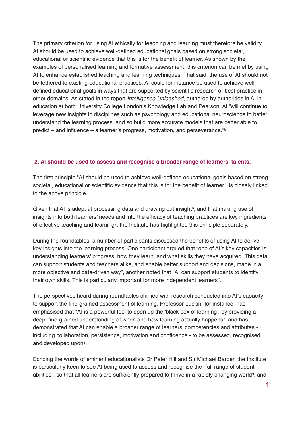The primary criterion for using AI ethically for teaching and learning must therefore be validity. AI should be used to achieve well-defined educational goals based on strong societal, educational or scientific evidence that this is for the benefit of learner. As shown by the examples of personalised learning and formative assessment, this criterion can be met by using AI to enhance established teaching and learning techniques. That said, the use of AI should not be tethered to existing educational practices. AI could for instance be used to achieve welldefined educational goals in ways that are supported by scientific research or best practice in other domains. As stated in the report *Intelligence Unleashed*, authored by authorities in AI in education at both University College London's Knowledge Lab and Pearson, AI "will continue to leverage new insights in disciplines such as psychology and educational neuroscience to better understand the learning process, and so build more accurate models that are better able to predict – and influence – a learner's progress, motivation, and perseverance."5

#### **2. AI should be used to assess and recognise a broader range of learners' talents.**

The first principle "AI should be used to achieve well-defined educational goals based on strong societal, educational or scientific evidence that this is for the benefit of learner " is closely linked to the above principle .

Given that AI is adept at processing data and drawing out insight $6$ , and that making use of insights into both learners' needs and into the efficacy of teaching practices are key ingredients of effective teaching and learning<sup>7</sup>, the Institute has highlighted this principle separately.

During the roundtables, a number of participants discussed the benefits of using AI to derive key insights into the learning process. One participant argued that "one of AI's key capacities is understanding learners' progress, how they learn, and what skills they have acquired. This data can support students and teachers alike, and enable better support and decisions, made in a more objective and data-driven way", another noted that "AI can support students to identify their own skills. This is particularly important for more independent learners".

The perspectives heard during roundtables chimed with research conducted into AI's capacity to support the fine-grained assessment of learning. Professor Luckin, for instance, has emphasised that "AI is a powerful tool to open up the 'black box of learning', by providing a deep, fine-grained understanding of when and how learning actually happens", and has demonstrated that AI can enable a broader range of learners' competencies and attributes including collaboration, persistence, motivation and confidence - to be assessed, recognised and developed upon8.

Echoing the words of eminent educationalists Dr Peter Hill and Sir Michael Barber, the Institute is particularly keen to see AI being used to assess and recognise the "full range of student abilities", so that all learners are sufficiently prepared to thrive in a rapidly changing world<sup>9</sup>, and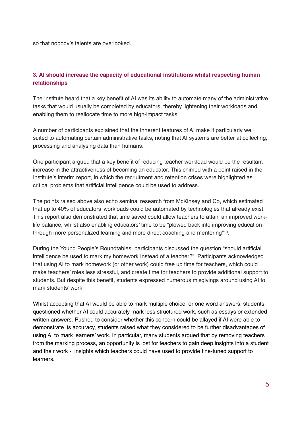so that nobody's talents are overlooked.

#### **3. AI should increase the capacity of educational institutions whilst respecting human relationships**

The Institute heard that a key benefit of AI was its ability to automate many of the administrative tasks that would usually be completed by educators, thereby lightening their workloads and enabling them to reallocate time to more high-impact tasks.

A number of participants explained that the inherent features of AI make it particularly well suited to automating certain administrative tasks, noting that AI systems are better at collecting, processing and analysing data than humans.

One participant argued that a key benefit of reducing teacher workload would be the resultant increase in the attractiveness of becoming an educator. This chimed with a point raised in the Institute's interim report, in which the recruitment and retention crises were highlighted as critical problems that artificial intelligence could be used to address.

The points raised above also echo seminal research from McKinsey and Co, which estimated that up to 40% of educators' workloads could be automated by technologies that already exist. This report also demonstrated that time saved could allow teachers to attain an improved worklife balance, whilst also enabling educators' time to be "plowed back into improving education through more personalized learning and more direct coaching and mentoring"10.

During the Young People's Roundtables, participants discussed the question "should artificial intelligence be used to mark my homework Instead of a teacher?". Participants acknowledged that using AI to mark homework (or other work) could free up time for teachers, which could make teachers' roles less stressful, and create time for teachers to provide additional support to students. But despite this benefit, students expressed numerous misgivings around using AI to mark students' work.

Whilst accepting that AI would be able to mark multiple choice, or one word answers, students questioned whether AI could accurately mark less structured work, such as essays or extended written answers. Pushed to consider whether this concern could be allayed if AI were able to demonstrate its accuracy, students raised what they considered to be further disadvantages of using AI to mark learners' work. In particular, many students argued that by removing teachers from the marking process, an opportunity is lost for teachers to gain deep insights into a student and their work - insights which teachers could have used to provide fine-tuned support to learners.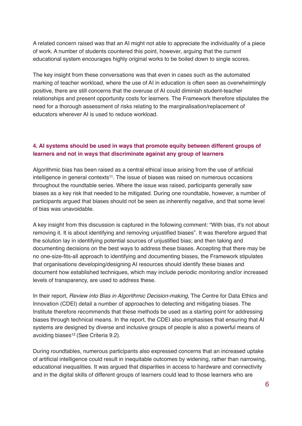A related concern raised was that an AI might not able to appreciate the individuality of a piece of work. A number of students countered this point, however, arguing that the current educational system encourages highly original works to be boiled down to single scores.

The key insight from these conversations was that even in cases such as the automated marking of teacher workload, where the use of AI in education is often seen as overwhelmingly positive, there are still concerns that the overuse of AI could diminish student-teacher relationships and present opportunity costs for learners. The Framework therefore stipulates the need for a thorough assessment of risks relating to the marginalisation/replacement of educators wherever AI is used to reduce workload.

#### **4. AI systems should be used in ways that promote equity between different groups of learners and not in ways that discriminate against any group of learners**

Algorithmic bias has been raised as a central ethical issue arising from the use of artificial intelligence in general contexts<sup>11</sup>. The issue of biases was raised on numerous occasions throughout the roundtable series. Where the issue was raised, participants generally saw biases as a key risk that needed to be mitigated. During one roundtable, however, a number of participants argued that biases should not be seen as inherently negative, and that some level of bias was unavoidable.

A key insight from this discussion is captured in the following comment: "With bias, it's not about removing it. It is about identifying and removing unjustified biases". It was therefore argued that the solution lay in identifying potential sources of unjustified bias; and then taking and documenting decisions on the best ways to address these biases. Accepting that there may be no one-size-fits-all approach to identifying and documenting biases, the Framework stipulates that organisations developing/designing AI resources should identify these biases and document how established techniques, which may include periodic monitoring and/or increased levels of transparency, are used to address these.

In their report, *Review into Bias in Algorithmic Decision-making*, The Centre for Data Ethics and Innovation (CDEI) detail a number of approaches to detecting and mitigating biases. The Institute therefore recommends that these methods be used as a starting point for addressing biases through technical means. In the report, the CDEI also emphasises that ensuring that AI systems are designed by diverse and inclusive groups of people is also a powerful means of avoiding biases12 (See Criteria 9.2).

During roundtables, numerous participants also expressed concerns that an increased uptake of artificial intelligence could result in inequitable outcomes by widening, rather than narrowing, educational inequalities. It was argued that disparities in access to hardware and connectivity and in the digital skills of different groups of learners could lead to those learners who are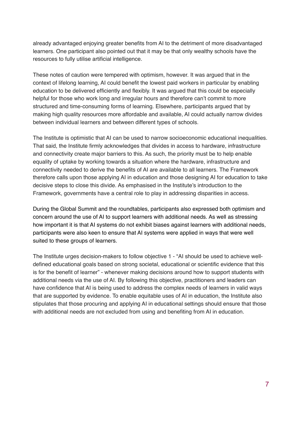already advantaged enjoying greater benefits from AI to the detriment of more disadvantaged learners. One participant also pointed out that it may be that only wealthy schools have the resources to fully utilise artificial intelligence.

These notes of caution were tempered with optimism, however. It was argued that in the context of lifelong learning, AI could benefit the lowest paid workers in particular by enabling education to be delivered efficiently and flexibly. It was argued that this could be especially helpful for those who work long and irregular hours and therefore can't commit to more structured and time-consuming forms of learning. Elsewhere, participants argued that by making high quality resources more affordable and available, AI could actually narrow divides between individual learners and between different types of schools.

The Institute is optimistic that AI can be used to narrow socioeconomic educational inequalities. That said, the Institute firmly acknowledges that divides in access to hardware, infrastructure and connectivity create major barriers to this. As such, the priority must be to help enable equality of uptake by working towards a situation where the hardware, infrastructure and connectivity needed to derive the benefits of AI are available to all learners. The Framework therefore calls upon those applying AI in education and those designing AI for education to take decisive steps to close this divide. As emphasised in the Institute's introduction to the Framework, governments have a central role to play in addressing disparities in access.

During the Global Summit and the roundtables, participants also expressed both optimism and concern around the use of AI to support learners with additional needs. As well as stressing how important it is that AI systems do not exhibit biases against learners with additional needs, participants were also keen to ensure that AI systems were applied in ways that were well suited to these groups of learners.

The Institute urges decision-makers to follow objective 1 - "AI should be used to achieve welldefined educational goals based on strong societal, educational or scientific evidence that this is for the benefit of learner" - whenever making decisions around how to support students with additional needs via the use of AI. By following this objective, practitioners and leaders can have confidence that AI is being used to address the complex needs of learners in valid ways that are supported by evidence. To enable equitable uses of AI in education, the Institute also stipulates that those procuring and applying AI in educational settings should ensure that those with additional needs are not excluded from using and benefiting from AI in education.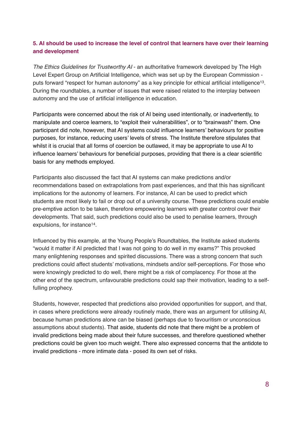#### **5. AI should be used to increase the level of control that learners have over their learning and development**

*The Ethics Guidelines for Trustworthy AI* - an authoritative framework developed by The High Level Expert Group on Artificial Intelligence, which was set up by the European Commission puts forward "respect for human autonomy" as a key principle for ethical artificial intelligence<sup>13</sup>. During the roundtables, a number of issues that were raised related to the interplay between autonomy and the use of artificial intelligence in education.

Participants were concerned about the risk of AI being used intentionally, or inadvertently, to manipulate and coerce learners, to "exploit their vulnerabilities", or to "brainwash" them. One participant did note, however, that AI systems could influence learners' behaviours for positive purposes, for instance, reducing users' levels of stress. The Institute therefore stipulates that whilst it is crucial that all forms of coercion be outlawed, it may be appropriate to use AI to influence learners' behaviours for beneficial purposes, providing that there is a clear scientific basis for any methods employed.

Participants also discussed the fact that AI systems can make predictions and/or recommendations based on extrapolations from past experiences, and that this has significant implications for the autonomy of learners. For instance, AI can be used to predict which students are most likely to fail or drop out of a university course. These predictions could enable pre-emptive action to be taken, therefore empowering learners with greater control over their developments. That said, such predictions could also be used to penalise learners, through expulsions, for instance<sup>14</sup>.

Influenced by this example, at the Young People's Roundtables, the Institute asked students "would it matter if AI predicted that I was not going to do well in my exams?" This provoked many enlightening responses and spirited discussions. There was a strong concern that such predictions could affect students' motivations, mindsets and/or self-perceptions. For those who were knowingly predicted to do well, there might be a risk of complacency. For those at the other end of the spectrum, unfavourable predictions could sap their motivation, leading to a selffulling prophecy.

Students, however, respected that predictions also provided opportunities for support, and that, in cases where predictions were already routinely made, there was an argument for utilising AI, because human predictions alone can be biased (perhaps due to favouritism or unconscious assumptions about students). That aside, students did note that there might be a problem of invalid predictions being made about their future successes, and therefore questioned whether predictions could be given too much weight. There also expressed concerns that the antidote to invalid predictions - more intimate data - posed its own set of risks.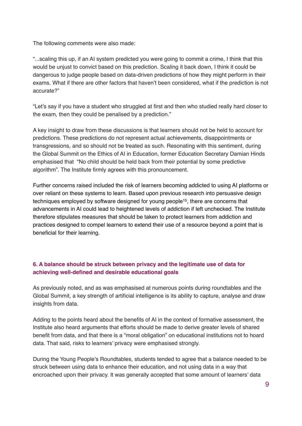The following comments were also made:

"...scaling this up, if an AI system predicted you were going to commit a crime, I think that this would be unjust to convict based on this prediction. Scaling it back down, I think it could be dangerous to judge people based on data-driven predictions of how they might perform in their exams. What if there are other factors that haven't been considered, what if the prediction is not accurate?"

"Let's say if you have a student who struggled at first and then who studied really hard closer to the exam, then they could be penalised by a prediction."

A key insight to draw from these discussions is that learners should not be held to account for predictions. These predictions do not represent actual achievements, disappointments or transgressions, and so should not be treated as such. Resonating with this sentiment, during the Global Summit on the Ethics of AI in Education, former Education Secretary Damian Hinds emphasised that "No child should be held back from their potential by some predictive algorithm". The Institute firmly agrees with this pronouncement.

Further concerns raised included the risk of learners becoming addicted to using AI platforms or over reliant on these systems to learn. Based upon previous research into persuasive design techniques employed by software designed for young people15, there are concerns that advancements in AI could lead to heightened levels of addiction if left unchecked. The Institute therefore stipulates measures that should be taken to protect learners from addiction and practices designed to compel learners to extend their use of a resource beyond a point that is beneficial for their learning.

#### **6. A balance should be struck between privacy and the legitimate use of data for achieving well-defined and desirable educational goals**

As previously noted, and as was emphasised at numerous points during roundtables and the Global Summit, a key strength of artificial intelligence is its ability to capture, analyse and draw insights from data.

Adding to the points heard about the benefits of AI in the context of formative assessment, the Institute also heard arguments that efforts should be made to derive greater levels of shared benefit from data, and that there is a "moral obligation" on educational institutions not to hoard data. That said, risks to learners' privacy were emphasised strongly.

During the Young People's Roundtables, students tended to agree that a balance needed to be struck between using data to enhance their education, and not using data in a way that encroached upon their privacy. It was generally accepted that some amount of learners' data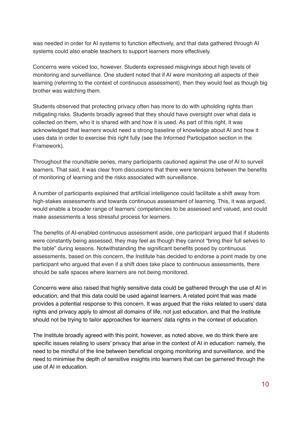was needed in order for AI systems to function effectively, and that data gathered through AI systems could also enable teachers to support learners more effectively.

Concerns were voiced too, however. Students expressed misgivings about high levels of monitoring and surveillance. One student noted that if AI were monitoring all aspects of their learning (referring to the context of continuous assessment), then they would feel as though big brother was watching them.

Students observed that protecting privacy often has more to do with upholding rights than mitigating risks. Students broadly agreed that they should have oversight over what data is collected on them, who it is shared with and how it is used. As part of this right, it was acknowledged that learners would need a strong baseline of knowledge about AI and how it uses data in order to exercise this right fully (see the Informed Participation section in the Framework).

Throughout the roundtable series, many participants cautioned against the use of AI to surveil learners. That said, it was clear from discussions that there were tensions between the benefits of monitoring of learning and the risks associated with surveillance.

A number of participants explained that artificial intelligence could facilitate a shift away from high-stakes assessments and towards continuous assessment of learning. This, it was argued, would enable a broader range of learners' competencies to be assessed and valued, and could make assessments a less stressful process for learners.

The benefits of AI-enabled continuous assessment aside, one participant argued that if students were constantly being assessed, they may feel as though they cannot "bring their full selves to the table" during lessons. Notwithstanding the significant benefits posed by continuous assessments, based on this concern, the Institute has decided to endorse a point made by one participant who argued that even if a shift does take place to continuous assessments, there should be safe spaces where learners are not being monitored.

Concerns were also raised that highly sensitive data could be gathered through the use of AI in education, and that this data could be used against learners. A related point that was made provides a potential response to this concern. It was argued that the risks related to users' data rights and privacy apply to almost all domains of life, not just education, and that the Institute should not be trying to tailor approaches for learners' data rights in the context of education.

The Institute broadly agreed with this point, however, as noted above, we do think there are specific issues relating to users' privacy that arise in the context of AI in education: namely, the need to be mindful of the line between beneficial ongoing monitoring and surveillance, and the need to minimise the depth of sensitive insights into learners that can be garnered through the use of AI in education.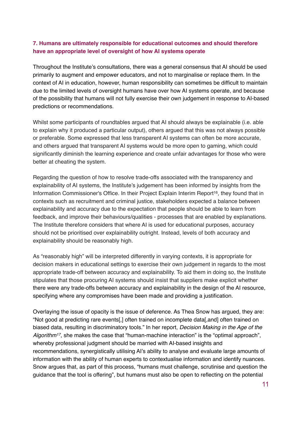#### **7. Humans are ultimately responsible for educational outcomes and should therefore have an appropriate level of oversight of how AI systems operate**

Throughout the Institute's consultations, there was a general consensus that AI should be used primarily to augment and empower educators, and not to marginalise or replace them. In the context of AI in education, however, human responsibility can sometimes be difficult to maintain due to the limited levels of oversight humans have over how AI systems operate, and because of the possibility that humans will not fully exercise their own judgement in response to AI-based predictions or recommendations.

Whilst some participants of roundtables argued that AI should always be explainable (i.e. able to explain why it produced a particular output), others argued that this was not always possible or preferable. Some expressed that less transparent AI systems can often be more accurate, and others argued that transparent AI systems would be more open to gaming, which could significantly diminish the learning experience and create unfair advantages for those who were better at cheating the system.

Regarding the question of how to resolve trade-offs associated with the transparency and explainability of AI systems, the Institute's judgement has been informed by insights from the Information Commissioner's Office. In their Project Explain Interim Report<sup>16</sup>, they found that in contexts such as recruitment and criminal justice, stakeholders expected a balance between explainability and accuracy due to the expectation that people should be able to learn from feedback, and improve their behaviours/qualities - processes that are enabled by explanations. The Institute therefore considers that where AI is used for educational purposes, accuracy should not be prioritised over explainability outright. Instead, levels of both accuracy and explainability should be reasonably high.

As "reasonably high" will be interpreted differently in varying contexts, it is appropriate for decision makers in educational settings to exercise their own judgement in regards to the most appropriate trade-off between accuracy and explainability. To aid them in doing so, the Institute stipulates that those procuring AI systems should insist that suppliers make explicit whether there were any trade-offs between accuracy and explainability in the design of the AI resource, specifying where any compromises have been made and providing a justification.

Overlaying the issue of opacity is the issue of deference. As Thea Snow has argued, they are: "Not good at predicting rare events[,] often trained on incomplete data[,and] often trained on biased data, resulting in discriminatory tools." In her report, *Decision Making in the Age of the Algorithm17*, she makes the case that "human-machine interaction" is the "optimal approach", whereby professional judgment should be married with AI-based insights and recommendations, synergistically utilising AI's ability to analyse and evaluate large amounts of information with the ability of human experts to contextualise information and identify nuances. Snow argues that, as part of this process, "humans must challenge, scrutinise and question the guidance that the tool is offering", but humans must also be open to reflecting on the potential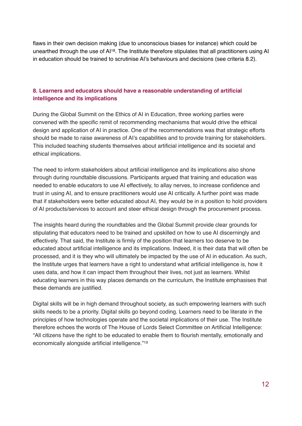flaws in their own decision making (due to unconscious biases for instance) which could be unearthed through the use of AI18. The Institute therefore stipulates that all practitioners using AI in education should be trained to scrutinise AI's behaviours and decisions (see criteria 8.2).

#### **8. Learners and educators should have a reasonable understanding of artificial intelligence and its implications**

During the Global Summit on the Ethics of AI in Education, three working parties were convened with the specific remit of recommending mechanisms that would drive the ethical design and application of AI in practice. One of the recommendations was that strategic efforts should be made to raise awareness of AI's capabilities and to provide training for stakeholders. This included teaching students themselves about artificial intelligence and its societal and ethical implications.

The need to inform stakeholders about artificial intelligence and its implications also shone through during roundtable discussions. Participants argued that training and education was needed to enable educators to use AI effectively, to allay nerves, to increase confidence and trust in using AI, and to ensure practitioners would use AI critically. A further point was made that if stakeholders were better educated about AI, they would be in a position to hold providers of AI products/services to account and steer ethical design through the procurement process.

The insights heard during the roundtables and the Global Summit provide clear grounds for stipulating that educators need to be trained and upskilled on how to use AI discerningly and effectively. That said, the Institute is firmly of the position that learners too deserve to be educated about artificial intelligence and its implications. Indeed, it is their data that will often be processed, and it is they who will ultimately be impacted by the use of AI in education. As such, the Institute urges that learners have a right to understand what artificial intelligence is, how it uses data, and how it can impact them throughout their lives, not just as learners. Whilst educating learners in this way places demands on the curriculum, the Institute emphasises that these demands are justified.

Digital skills will be in high demand throughout society, as such empowering learners with such skills needs to be a priority. Digital skills go beyond coding. Learners need to be literate in the principles of how technologies operate and the societal implications of their use. The Institute therefore echoes the words of The House of Lords Select Committee on Artificial Intelligence: "All citizens have the right to be educated to enable them to flourish mentally, emotionally and economically alongside artificial intelligence."19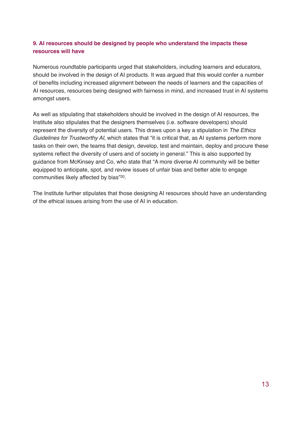#### **9. AI resources should be designed by people who understand the impacts these resources will have**

Numerous roundtable participants urged that stakeholders, including learners and educators, should be involved in the design of AI products. It was argued that this would confer a number of benefits including increased alignment between the needs of learners and the capacities of AI resources, resources being designed with fairness in mind, and increased trust in AI systems amongst users.

As well as stipulating that stakeholders should be involved in the design of AI resources, the Institute also stipulates that the designers themselves (i.e. software developers) should represent the diversity of potential users. This draws upon a key a stipulation in *The Ethics Guidelines for Trustworthy AI*, which states that "it is critical that, as AI systems perform more tasks on their own, the teams that design, develop, test and maintain, deploy and procure these systems reflect the diversity of users and of society in general." This is also supported by guidance from McKinsey and Co, who state that "A more diverse AI community will be better equipped to anticipate, spot, and review issues of unfair bias and better able to engage communities likely affected by bias"20.

The Institute further stipulates that those designing AI resources should have an understanding of the ethical issues arising from the use of AI in education.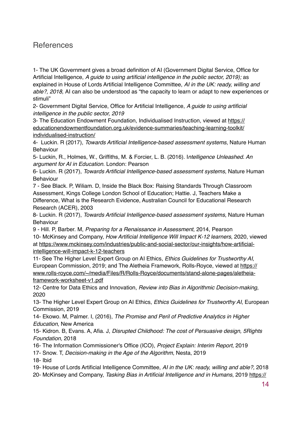#### References

1- The UK Government gives a broad definition of AI (Government Digital Service, Office for Artificial Intelligence, *A guide to using artificial intelligence in the public sector, 2019);* as explained in House of Lords Artificial Intelligence Committee, *AI in the UK: ready, willing and able?, 2018,* AI can also be understood as "the capacity to learn or adapt to new experiences or stimuli"

2- Government Digital Service, Office for Artificial Intelligence, *A guide to using artificial intelligence in the public sector, 2019*

[3- The Education Endowment Foundation, Individualised Instruction, viewed at https://](https://educationendowmentfoundation.org.uk/evidence-summaries/teaching-learning-toolkit/individualised-instruction/) educationendowmentfoundation.org.uk/evidence-summaries/teaching-learning-toolkit/ individualised-instruction/

4- Luckin. R (2017), *Towards Artificial Intelligence-based assessment systems*, Nature Human Behaviour

5- Luckin, R., Holmes, W., Griffiths, M. & Forcier, L. B. (2016). I*ntelligence Unleashed. An argument for AI in Education*. London: Pearson

6- Luckin. R (2017), *Towards Artificial Intelligence-based assessment systems*, Nature Human Behaviour

7 - See Black. P, Wiliam. D, Inside the Black Box: Raising Standards Through Classroom Assessment, Kings College London School of Education; Hattie. J, Teachers Make a Difference, What is the Research Evidence, Australian Council for Educational Research Research (ACER), 2003

8- Luckin. R (2017), *Towards Artificial Intelligence-based assessment systems*, Nature Human Behaviour

9 - Hill. P, Barber. M, *Preparing for a Renaissance in Assessment*, 2014, Pearson 10- McKinsey and Company, *How Artificial Intelligence Will Impact K-12 learners*, 2020, viewed [at https://www.mckinsey.com/industries/public-and-social-sector/our-insights/how-artificial](https://www.mckinsey.com/industries/public-and-social-sector/our-insights/how-artificial-intelligence-will-impact-k-12-teachers)intelligence-will-impact-k-12-teachers

11- See The Higher Level Expert Group on AI Ethics, *Ethics Guidelines for Trustworthy AI*, [European Commission, 2019; and The Aletheia Framework, Rolls-Royce, viewed at https://](https://www.rolls-royce.com/~/media/Files/R/Rolls-Royce/documents/stand-alone-pages/aletheia-framework-worksheet-v1.pdf) www.rolls-royce.com/~/media/Files/R/Rolls-Royce/documents/stand-alone-pages/aletheiaframework-worksheet-v1.pdf

12- Centre for Data Ethics and Innovation, *Review into Bias in Algorithmic Decision-making*, 2020

13- The Higher Level Expert Group on AI Ethics, *Ethics Guidelines for Trustworthy AI*, European Commission, 2019

14- Ekowo. M, Palmer. I, (2016), *The Promise and Peril of Predictive Analytics in Higher Education*, New America

15- Kidron. B, Evans. A, Afia. J, *Disrupted Childhood: The cost of Persuasive design, 5Rights Foundation,* 2018

16- The Information Commissioner's Office (ICO), *Project Explain: Interim Report*, 2019

17- Snow. T, *Decision-making in the Age of the Algorithm*, Nesta, 2019

18- Ibid

19- House of Lords Artificial Intelligence Committee, *AI in the UK: ready, willing and able?,* 2018 20- McKinsey and Company, *Tasking Bias in Artificial Intelligence and in Humans*, 2019 [https://](https://www.mckinsey.com/featured-insights/artificial-intelligence/tackling-bias-in-artificial-intelligence-and-in-humans)